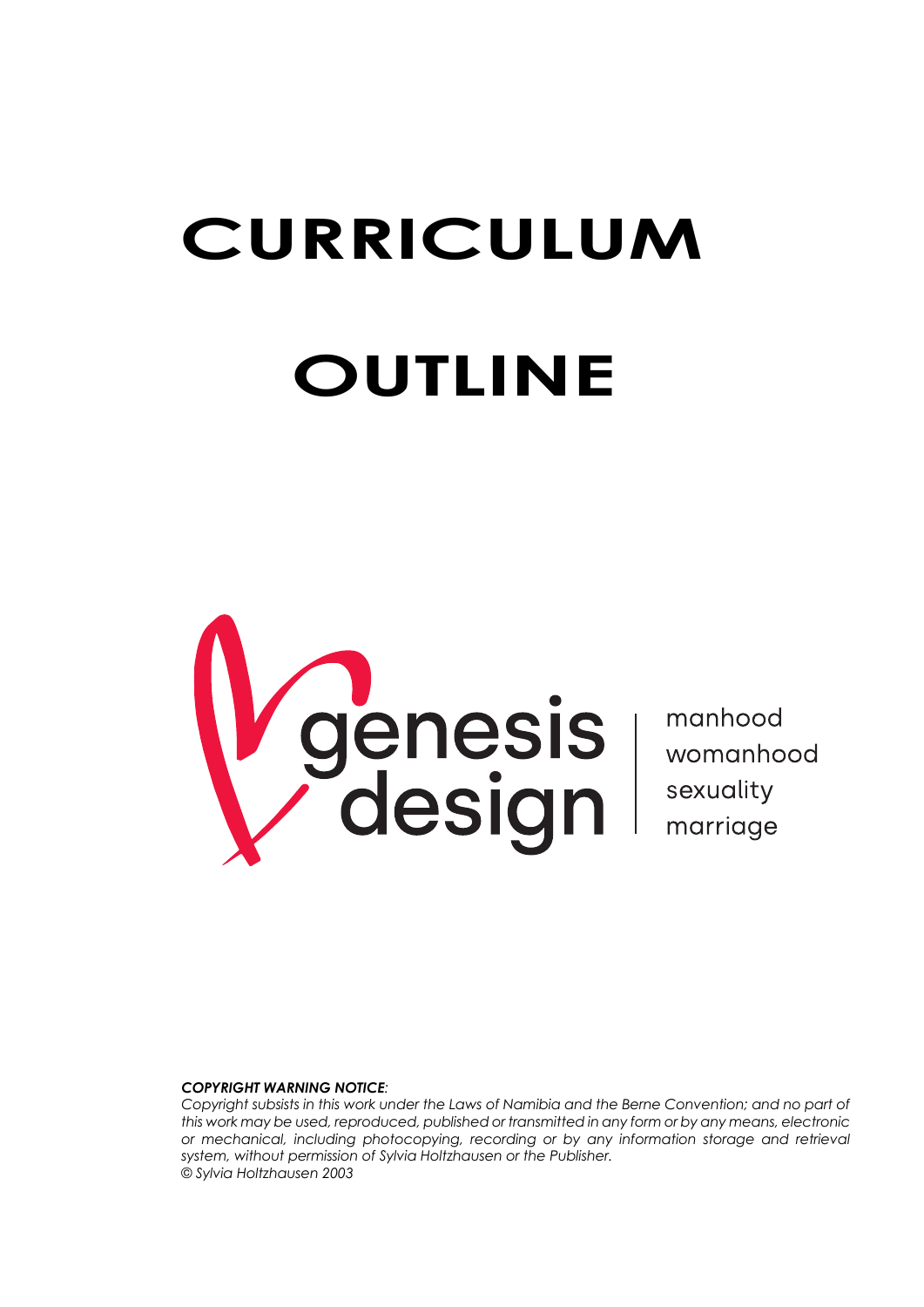# **CURRICULUM OUTLINE**



#### *COPYRIGHT WARNING NOTICE:*

*Copyright subsists in this work under the Laws of Namibia and the Berne Convention; and no part of this work may be used, reproduced, published or transmitted in any form or by any means, electronic or mechanical, including photocopying, recording or by any information storage and retrieval system, without permission of Sylvia Holtzhausen or the Publisher. © Sylvia Holtzhausen 2003*